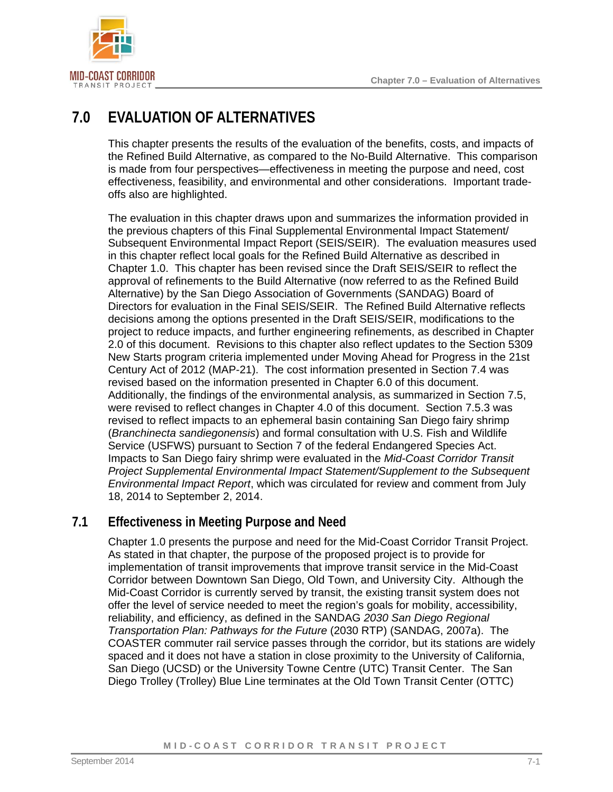

# **7.0 EVALUATION OF ALTERNATIVES**

This chapter presents the results of the evaluation of the benefits, costs, and impacts of the Refined Build Alternative, as compared to the No-Build Alternative. This comparison is made from four perspectives—effectiveness in meeting the purpose and need, cost effectiveness, feasibility, and environmental and other considerations. Important tradeoffs also are highlighted.

The evaluation in this chapter draws upon and summarizes the information provided in the previous chapters of this Final Supplemental Environmental Impact Statement/ Subsequent Environmental Impact Report (SEIS/SEIR). The evaluation measures used in this chapter reflect local goals for the Refined Build Alternative as described in Chapter 1.0. This chapter has been revised since the Draft SEIS/SEIR to reflect the approval of refinements to the Build Alternative (now referred to as the Refined Build Alternative) by the San Diego Association of Governments (SANDAG) Board of Directors for evaluation in the Final SEIS/SEIR. The Refined Build Alternative reflects decisions among the options presented in the Draft SEIS/SEIR, modifications to the project to reduce impacts, and further engineering refinements, as described in Chapter 2.0 of this document. Revisions to this chapter also reflect updates to the Section 5309 New Starts program criteria implemented under Moving Ahead for Progress in the 21st Century Act of 2012 (MAP-21). The cost information presented in Section [7.4](#page-8-0) was revised based on the information presented in Chapter 6.0 of this document. Additionally, the findings of the environmental analysis, as summarized in Section [7.5,](#page-9-0) were revised to reflect changes in Chapter 4.0 of this document. Section 7.5.3 was revised to reflect impacts to an ephemeral basin containing San Diego fairy shrimp (*Branchinecta sandiegonensis*) and formal consultation with U.S. Fish and Wildlife Service (USFWS) pursuant to Section 7 of the federal Endangered Species Act. Impacts to San Diego fairy shrimp were evaluated in the *Mid-Coast Corridor Transit Project Supplemental Environmental Impact Statement/Supplement to the Subsequent Environmental Impact Report*, which was circulated for review and comment from July 18, 2014 to September 2, 2014.

## **7.1 Effectiveness in Meeting Purpose and Need**

Chapter 1.0 presents the purpose and need for the Mid-Coast Corridor Transit Project. As stated in that chapter, the purpose of the proposed project is to provide for implementation of transit improvements that improve transit service in the Mid-Coast Corridor between Downtown San Diego, Old Town, and University City. Although the Mid-Coast Corridor is currently served by transit, the existing transit system does not offer the level of service needed to meet the region's goals for mobility, accessibility, reliability, and efficiency, as defined in the SANDAG *2030 San Diego Regional Transportation Plan: Pathways for the Future* (2030 RTP) (SANDAG, 2007a). The COASTER commuter rail service passes through the corridor, but its stations are widely spaced and it does not have a station in close proximity to the University of California, San Diego (UCSD) or the University Towne Centre (UTC) Transit Center. The San Diego Trolley (Trolley) Blue Line terminates at the Old Town Transit Center (OTTC)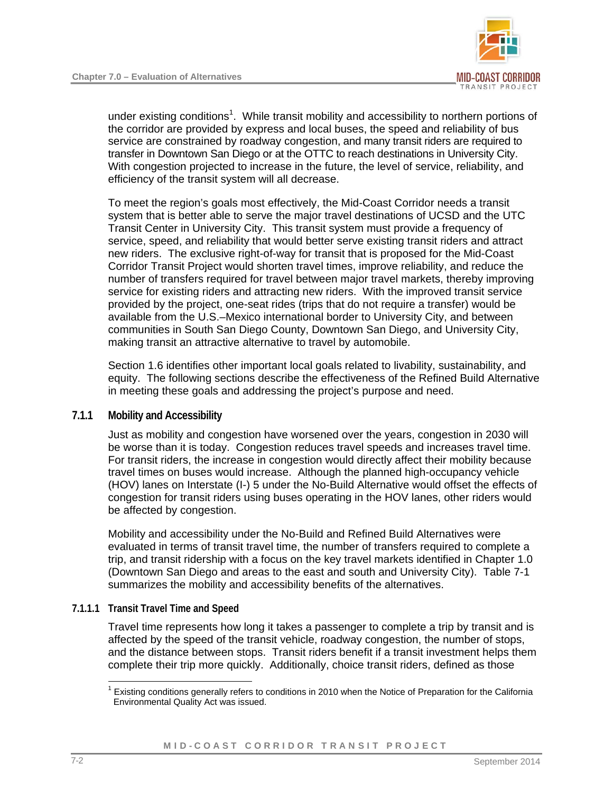

under existing conditions<sup>[1](#page-1-0)</sup>. While transit mobility and accessibility to northern portions of the corridor are provided by express and local buses, the speed and reliability of bus service are constrained by roadway congestion, and many transit riders are required to transfer in Downtown San Diego or at the OTTC to reach destinations in University City. With congestion projected to increase in the future, the level of service, reliability, and efficiency of the transit system will all decrease.

To meet the region's goals most effectively, the Mid-Coast Corridor needs a transit system that is better able to serve the major travel destinations of UCSD and the UTC Transit Center in University City. This transit system must provide a frequency of service, speed, and reliability that would better serve existing transit riders and attract new riders. The exclusive right-of-way for transit that is proposed for the Mid-Coast Corridor Transit Project would shorten travel times, improve reliability, and reduce the number of transfers required for travel between major travel markets, thereby improving service for existing riders and attracting new riders. With the improved transit service provided by the project, one-seat rides (trips that do not require a transfer) would be available from the U.S.–Mexico international border to University City, and between communities in South San Diego County, Downtown San Diego, and University City, making transit an attractive alternative to travel by automobile.

Section 1.6 identifies other important local goals related to livability, sustainability, and equity. The following sections describe the effectiveness of the Refined Build Alternative in meeting these goals and addressing the project's purpose and need.

#### **7.1.1 Mobility and Accessibility**

Just as mobility and congestion have worsened over the years, congestion in 2030 will be worse than it is today. Congestion reduces travel speeds and increases travel time. For transit riders, the increase in congestion would directly affect their mobility because travel times on buses would increase. Although the planned high-occupancy vehicle (HOV) lanes on Interstate (I-) 5 under the No-Build Alternative would offset the effects of congestion for transit riders using buses operating in the HOV lanes, other riders would be affected by congestion.

Mobility and accessibility under the No-Build and Refined Build Alternatives were evaluated in terms of transit travel time, the number of transfers required to complete a trip, and transit ridership with a focus on the key travel markets identified in Chapter 1.0 (Downtown San Diego and areas to the east and south and University City). [Table 7-1](#page-2-0)  summarizes the mobility and accessibility benefits of the alternatives.

#### **7.1.1.1 Transit Travel Time and Speed**

Travel time represents how long it takes a passenger to complete a trip by transit and is affected by the speed of the transit vehicle, roadway congestion, the number of stops, and the distance between stops. Transit riders benefit if a transit investment helps them complete their trip more quickly. Additionally, choice transit riders, defined as those

<span id="page-1-0"></span> $\overline{a}$ <sup>1</sup> Existing conditions generally refers to conditions in 2010 when the Notice of Preparation for the California Environmental Quality Act was issued.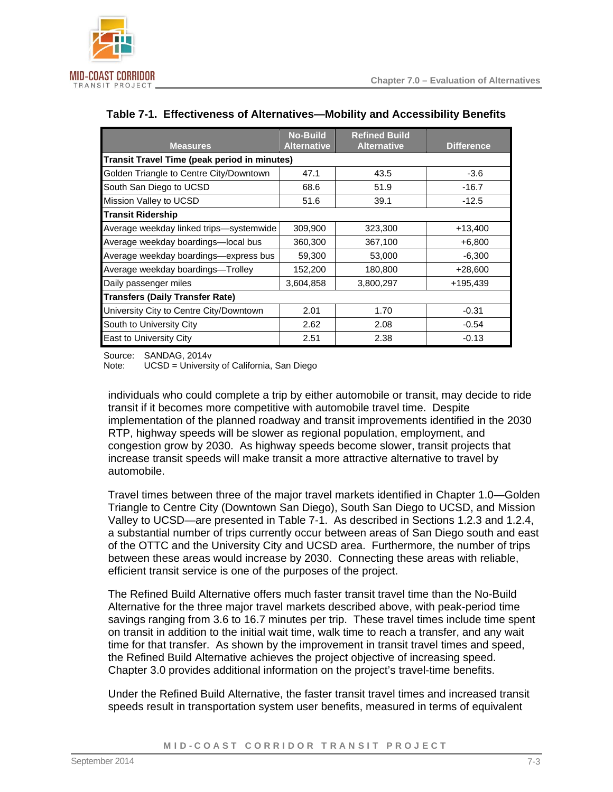

| <b>Measures</b>                                     | <b>No-Build</b><br><b>Alternative</b> | <b>Refined Build</b><br><b>Alternative</b> | <b>Difference</b> |  |  |  |
|-----------------------------------------------------|---------------------------------------|--------------------------------------------|-------------------|--|--|--|
| <b>Transit Travel Time (peak period in minutes)</b> |                                       |                                            |                   |  |  |  |
| Golden Triangle to Centre City/Downtown             | 47.1                                  | 43.5                                       | $-3.6$            |  |  |  |
| South San Diego to UCSD                             | 68.6                                  | 51.9                                       | $-16.7$           |  |  |  |
| Mission Valley to UCSD                              | 51.6                                  | 39.1                                       | $-12.5$           |  |  |  |
| <b>Transit Ridership</b>                            |                                       |                                            |                   |  |  |  |
| Average weekday linked trips-systemwide             | 309,900                               | 323,300                                    | $+13,400$         |  |  |  |
| Average weekday boardings-local bus                 | 360,300                               | 367,100                                    | $+6,800$          |  |  |  |
| Average weekday boardings-express bus               | 59,300                                | 53,000                                     | $-6,300$          |  |  |  |
| Average weekday boardings-Trolley                   | 152,200                               | 180,800                                    | $+28,600$         |  |  |  |
| Daily passenger miles                               | 3,604,858                             | 3,800,297                                  | +195,439          |  |  |  |
| <b>Transfers (Daily Transfer Rate)</b>              |                                       |                                            |                   |  |  |  |
| University City to Centre City/Downtown             | 2.01                                  | 1.70                                       | $-0.31$           |  |  |  |
| South to University City                            | 2.62                                  | 2.08                                       | $-0.54$           |  |  |  |
| <b>East to University City</b>                      | 2.51                                  | 2.38                                       | $-0.13$           |  |  |  |

#### <span id="page-2-0"></span>**Table 7-1. Effectiveness of Alternatives—Mobility and Accessibility Benefits**

Source: SANDAG, 2014v

Note: UCSD = University of California, San Diego

individuals who could complete a trip by either automobile or transit, may decide to ride transit if it becomes more competitive with automobile travel time. Despite implementation of the planned roadway and transit improvements identified in the 2030 RTP, highway speeds will be slower as regional population, employment, and congestion grow by 2030. As highway speeds become slower, transit projects that increase transit speeds will make transit a more attractive alternative to travel by automobile.

Travel times between three of the major travel markets identified in Chapter 1.0—Golden Triangle to Centre City (Downtown San Diego), South San Diego to UCSD, and Mission Valley to UCSD—are presented in [Table 7-1.](#page-2-0) As described in Sections 1.2.3 and 1.2.4, a substantial number of trips currently occur between areas of San Diego south and east of the OTTC and the University City and UCSD area. Furthermore, the number of trips between these areas would increase by 2030. Connecting these areas with reliable, efficient transit service is one of the purposes of the project.

The Refined Build Alternative offers much faster transit travel time than the No-Build Alternative for the three major travel markets described above, with peak-period time savings ranging from 3.6 to 16.7 minutes per trip. These travel times include time spent on transit in addition to the initial wait time, walk time to reach a transfer, and any wait time for that transfer. As shown by the improvement in transit travel times and speed, the Refined Build Alternative achieves the project objective of increasing speed. Chapter 3.0 provides additional information on the project's travel-time benefits.

Under the Refined Build Alternative, the faster transit travel times and increased transit speeds result in transportation system user benefits, measured in terms of equivalent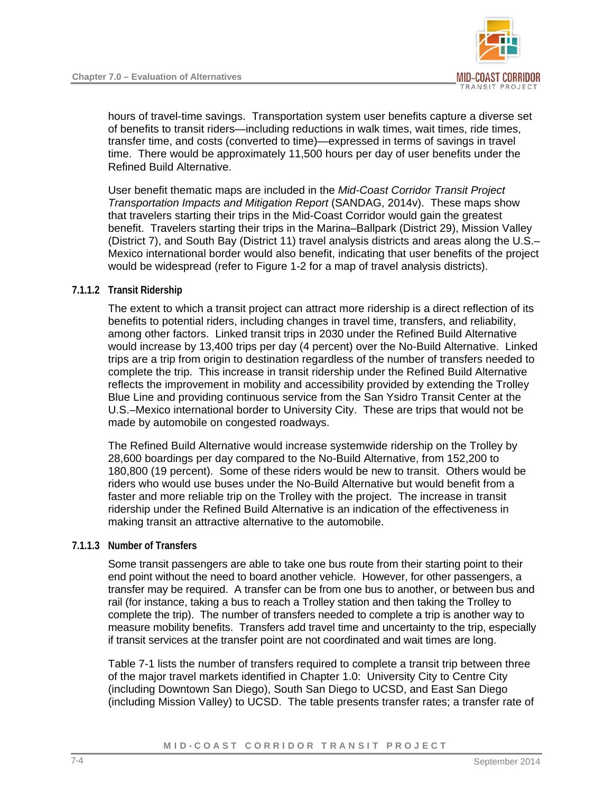

hours of travel-time savings. Transportation system user benefits capture a diverse set of benefits to transit riders—including reductions in walk times, wait times, ride times, transfer time, and costs (converted to time)—expressed in terms of savings in travel time. There would be approximately 11,500 hours per day of user benefits under the Refined Build Alternative.

User benefit thematic maps are included in the *Mid-Coast Corridor Transit Project Transportation Impacts and Mitigation Report* (SANDAG, 2014v). These maps show that travelers starting their trips in the Mid-Coast Corridor would gain the greatest benefit. Travelers starting their trips in the Marina–Ballpark (District 29), Mission Valley (District 7), and South Bay (District 11) travel analysis districts and areas along the U.S.– Mexico international border would also benefit, indicating that user benefits of the project would be widespread (refer to Figure 1-2 for a map of travel analysis districts).

#### **7.1.1.2 Transit Ridership**

The extent to which a transit project can attract more ridership is a direct reflection of its benefits to potential riders, including changes in travel time, transfers, and reliability, among other factors. Linked transit trips in 2030 under the Refined Build Alternative would increase by 13,400 trips per day (4 percent) over the No-Build Alternative. Linked trips are a trip from origin to destination regardless of the number of transfers needed to complete the trip. This increase in transit ridership under the Refined Build Alternative reflects the improvement in mobility and accessibility provided by extending the Trolley Blue Line and providing continuous service from the San Ysidro Transit Center at the U.S.–Mexico international border to University City. These are trips that would not be made by automobile on congested roadways.

The Refined Build Alternative would increase systemwide ridership on the Trolley by 28,600 boardings per day compared to the No-Build Alternative, from 152,200 to 180,800 (19 percent). Some of these riders would be new to transit. Others would be riders who would use buses under the No-Build Alternative but would benefit from a faster and more reliable trip on the Trolley with the project. The increase in transit ridership under the Refined Build Alternative is an indication of the effectiveness in making transit an attractive alternative to the automobile.

#### **7.1.1.3 Number of Transfers**

Some transit passengers are able to take one bus route from their starting point to their end point without the need to board another vehicle. However, for other passengers, a transfer may be required. A transfer can be from one bus to another, or between bus and rail (for instance, taking a bus to reach a Trolley station and then taking the Trolley to complete the trip). The number of transfers needed to complete a trip is another way to measure mobility benefits. Transfers add travel time and uncertainty to the trip, especially if transit services at the transfer point are not coordinated and wait times are long.

[Table 7-1](#page-2-0) lists the number of transfers required to complete a transit trip between three of the major travel markets identified in Chapter 1.0: University City to Centre City (including Downtown San Diego), South San Diego to UCSD, and East San Diego (including Mission Valley) to UCSD. The table presents transfer rates; a transfer rate of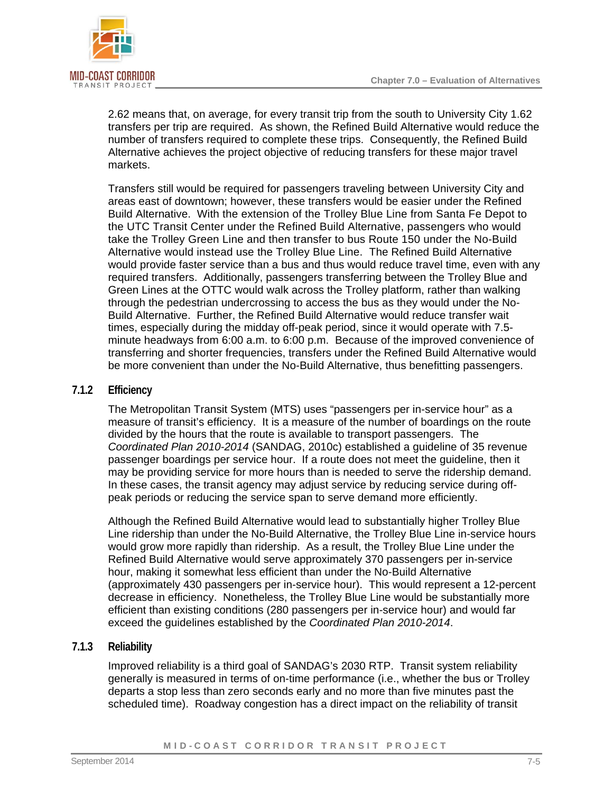

2.62 means that, on average, for every transit trip from the south to University City 1.62 transfers per trip are required. As shown, the Refined Build Alternative would reduce the number of transfers required to complete these trips. Consequently, the Refined Build Alternative achieves the project objective of reducing transfers for these major travel markets.

Transfers still would be required for passengers traveling between University City and areas east of downtown; however, these transfers would be easier under the Refined Build Alternative. With the extension of the Trolley Blue Line from Santa Fe Depot to the UTC Transit Center under the Refined Build Alternative, passengers who would take the Trolley Green Line and then transfer to bus Route 150 under the No-Build Alternative would instead use the Trolley Blue Line. The Refined Build Alternative would provide faster service than a bus and thus would reduce travel time, even with any required transfers. Additionally, passengers transferring between the Trolley Blue and Green Lines at the OTTC would walk across the Trolley platform, rather than walking through the pedestrian undercrossing to access the bus as they would under the No-Build Alternative. Further, the Refined Build Alternative would reduce transfer wait times, especially during the midday off-peak period, since it would operate with 7.5 minute headways from 6:00 a.m. to 6:00 p.m. Because of the improved convenience of transferring and shorter frequencies, transfers under the Refined Build Alternative would be more convenient than under the No-Build Alternative, thus benefitting passengers.

#### **7.1.2 Efficiency**

The Metropolitan Transit System (MTS) uses "passengers per in-service hour" as a measure of transit's efficiency. It is a measure of the number of boardings on the route divided by the hours that the route is available to transport passengers. The *Coordinated Plan 2010-2014* (SANDAG, 2010c) established a guideline of 35 revenue passenger boardings per service hour. If a route does not meet the guideline, then it may be providing service for more hours than is needed to serve the ridership demand. In these cases, the transit agency may adjust service by reducing service during offpeak periods or reducing the service span to serve demand more efficiently.

Although the Refined Build Alternative would lead to substantially higher Trolley Blue Line ridership than under the No-Build Alternative, the Trolley Blue Line in-service hours would grow more rapidly than ridership. As a result, the Trolley Blue Line under the Refined Build Alternative would serve approximately 370 passengers per in-service hour, making it somewhat less efficient than under the No-Build Alternative (approximately 430 passengers per in-service hour). This would represent a 12-percent decrease in efficiency. Nonetheless, the Trolley Blue Line would be substantially more efficient than existing conditions (280 passengers per in-service hour) and would far exceed the guidelines established by the *Coordinated Plan 2010-2014*.

#### **7.1.3 Reliability**

Improved reliability is a third goal of SANDAG's 2030 RTP. Transit system reliability generally is measured in terms of on-time performance (i.e., whether the bus or Trolley departs a stop less than zero seconds early and no more than five minutes past the scheduled time). Roadway congestion has a direct impact on the reliability of transit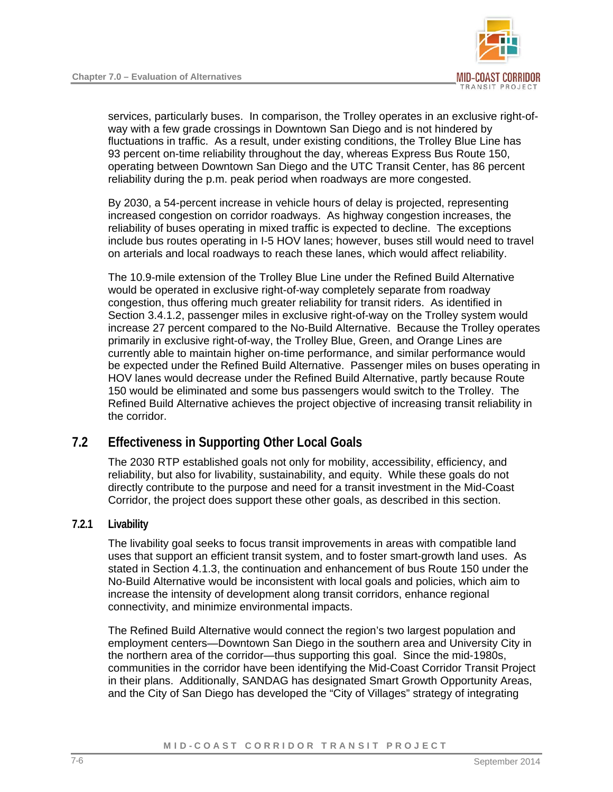

services, particularly buses. In comparison, the Trolley operates in an exclusive right-ofway with a few grade crossings in Downtown San Diego and is not hindered by fluctuations in traffic. As a result, under existing conditions, the Trolley Blue Line has 93 percent on-time reliability throughout the day, whereas Express Bus Route 150, operating between Downtown San Diego and the UTC Transit Center, has 86 percent reliability during the p.m. peak period when roadways are more congested.

By 2030, a 54-percent increase in vehicle hours of delay is projected, representing increased congestion on corridor roadways. As highway congestion increases, the reliability of buses operating in mixed traffic is expected to decline. The exceptions include bus routes operating in I-5 HOV lanes; however, buses still would need to travel on arterials and local roadways to reach these lanes, which would affect reliability.

The 10.9-mile extension of the Trolley Blue Line under the Refined Build Alternative would be operated in exclusive right-of-way completely separate from roadway congestion, thus offering much greater reliability for transit riders. As identified in Section 3.4.1.2, passenger miles in exclusive right-of-way on the Trolley system would increase 27 percent compared to the No-Build Alternative. Because the Trolley operates primarily in exclusive right-of-way, the Trolley Blue, Green, and Orange Lines are currently able to maintain higher on-time performance, and similar performance would be expected under the Refined Build Alternative. Passenger miles on buses operating in HOV lanes would decrease under the Refined Build Alternative, partly because Route 150 would be eliminated and some bus passengers would switch to the Trolley. The Refined Build Alternative achieves the project objective of increasing transit reliability in the corridor.

## **7.2 Effectiveness in Supporting Other Local Goals**

The 2030 RTP established goals not only for mobility, accessibility, efficiency, and reliability, but also for livability, sustainability, and equity. While these goals do not directly contribute to the purpose and need for a transit investment in the Mid-Coast Corridor, the project does support these other goals, as described in this section.

#### **7.2.1 Livability**

The livability goal seeks to focus transit improvements in areas with compatible land uses that support an efficient transit system, and to foster smart-growth land uses. As stated in Section 4.1.3, the continuation and enhancement of bus Route 150 under the No-Build Alternative would be inconsistent with local goals and policies, which aim to increase the intensity of development along transit corridors, enhance regional connectivity, and minimize environmental impacts.

The Refined Build Alternative would connect the region's two largest population and employment centers—Downtown San Diego in the southern area and University City in the northern area of the corridor—thus supporting this goal. Since the mid-1980s, communities in the corridor have been identifying the Mid-Coast Corridor Transit Project in their plans. Additionally, SANDAG has designated Smart Growth Opportunity Areas, and the City of San Diego has developed the "City of Villages" strategy of integrating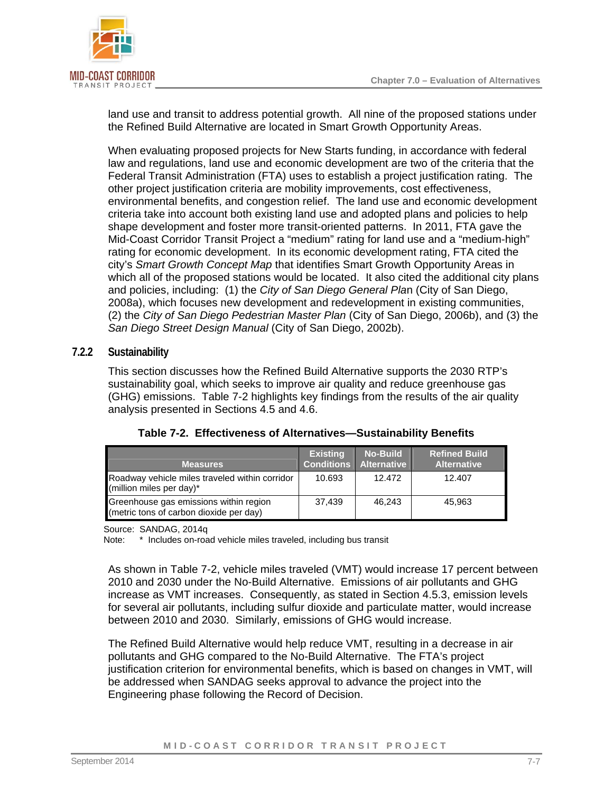

land use and transit to address potential growth. All nine of the proposed stations under the Refined Build Alternative are located in Smart Growth Opportunity Areas.

When evaluating proposed projects for New Starts funding, in accordance with federal law and regulations, land use and economic development are two of the criteria that the Federal Transit Administration (FTA) uses to establish a project justification rating. The other project justification criteria are mobility improvements, cost effectiveness, environmental benefits, and congestion relief. The land use and economic development criteria take into account both existing land use and adopted plans and policies to help shape development and foster more transit-oriented patterns. In 2011, FTA gave the Mid-Coast Corridor Transit Project a "medium" rating for land use and a "medium-high" rating for economic development. In its economic development rating, FTA cited the city's *Smart Growth Concept Map* that identifies Smart Growth Opportunity Areas in which all of the proposed stations would be located. It also cited the additional city plans and policies, including: (1) the *City of San Diego General Pla*n (City of San Diego, 2008a), which focuses new development and redevelopment in existing communities, (2) the *City of San Diego Pedestrian Master Plan* (City of San Diego, 2006b), and (3) the *San Diego Street Design Manual* (City of San Diego, 2002b).

#### **7.2.2 Sustainability**

This section discusses how the Refined Build Alternative supports the 2030 RTP's sustainability goal, which seeks to improve air quality and reduce greenhouse gas (GHG) emissions. [Table 7-2](#page-6-0) highlights key findings from the results of the air quality analysis presented in Sections 4.5 and 4.6.

| <b>Measures</b>                                                                   | <b>Existing</b> | <b>No-Build</b><br><b>Conditions Alternative</b> | <b>Refined Build</b><br><b>Alternative</b> |
|-----------------------------------------------------------------------------------|-----------------|--------------------------------------------------|--------------------------------------------|
| Roadway vehicle miles traveled within corridor<br>(million miles per day)*        | 10.693          | 12.472                                           | 12.407                                     |
| Greenhouse gas emissions within region<br>(metric tons of carbon dioxide per day) | 37.439          | 46.243                                           | 45.963                                     |

<span id="page-6-0"></span>**Table 7-2. Effectiveness of Alternatives—Sustainability Benefits**

Source: SANDAG, 2014q

Note: \* Includes on-road vehicle miles traveled, including bus transit

As shown in [Table 7-2,](#page-6-0) vehicle miles traveled (VMT) would increase 17 percent between 2010 and 2030 under the No-Build Alternative. Emissions of air pollutants and GHG increase as VMT increases. Consequently, as stated in Section 4.5.3, emission levels for several air pollutants, including sulfur dioxide and particulate matter, would increase between 2010 and 2030. Similarly, emissions of GHG would increase.

The Refined Build Alternative would help reduce VMT, resulting in a decrease in air pollutants and GHG compared to the No-Build Alternative. The FTA's project justification criterion for environmental benefits, which is based on changes in VMT, will be addressed when SANDAG seeks approval to advance the project into the Engineering phase following the Record of Decision.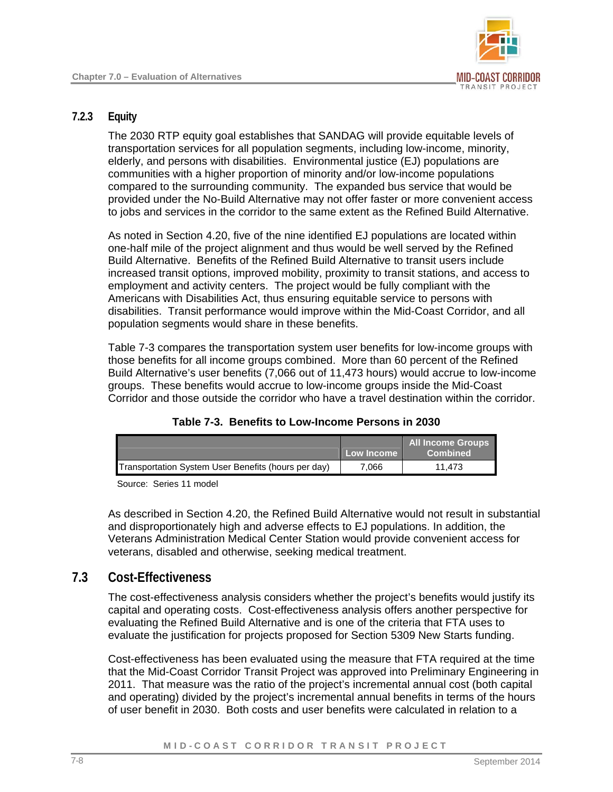

#### **7.2.3 Equity**

The 2030 RTP equity goal establishes that SANDAG will provide equitable levels of transportation services for all population segments, including low-income, minority, elderly, and persons with disabilities. Environmental justice (EJ) populations are communities with a higher proportion of minority and/or low-income populations compared to the surrounding community. The expanded bus service that would be provided under the No-Build Alternative may not offer faster or more convenient access to jobs and services in the corridor to the same extent as the Refined Build Alternative.

As noted in Section 4.20, five of the nine identified EJ populations are located within one-half mile of the project alignment and thus would be well served by the Refined Build Alternative. Benefits of the Refined Build Alternative to transit users include increased transit options, improved mobility, proximity to transit stations, and access to employment and activity centers. The project would be fully compliant with the Americans with Disabilities Act, thus ensuring equitable service to persons with disabilities. Transit performance would improve within the Mid-Coast Corridor, and all population segments would share in these benefits.

[Table 7-3](#page-7-0) compares the transportation system user benefits for low-income groups with those benefits for all income groups combined. More than 60 percent of the Refined Build Alternative's user benefits (7,066 out of 11,473 hours) would accrue to low-income groups. These benefits would accrue to low-income groups inside the Mid-Coast Corridor and those outside the corridor who have a travel destination within the corridor.

|                                                     | Low Income | <b>All Income Groups</b><br><b>Combined</b> |
|-----------------------------------------------------|------------|---------------------------------------------|
| Transportation System User Benefits (hours per day) | 7.066      | 11.473                                      |

#### <span id="page-7-0"></span>**Table 7-3. Benefits to Low-Income Persons in 2030**

Source: Series 11 model

As described in Section 4.20, the Refined Build Alternative would not result in substantial and disproportionately high and adverse effects to EJ populations. In addition, the Veterans Administration Medical Center Station would provide convenient access for veterans, disabled and otherwise, seeking medical treatment.

## **7.3 Cost-Effectiveness**

The cost-effectiveness analysis considers whether the project's benefits would justify its capital and operating costs. Cost-effectiveness analysis offers another perspective for evaluating the Refined Build Alternative and is one of the criteria that FTA uses to evaluate the justification for projects proposed for Section 5309 New Starts funding.

Cost-effectiveness has been evaluated using the measure that FTA required at the time that the Mid-Coast Corridor Transit Project was approved into Preliminary Engineering in 2011. That measure was the ratio of the project's incremental annual cost (both capital and operating) divided by the project's incremental annual benefits in terms of the hours of user benefit in 2030. Both costs and user benefits were calculated in relation to a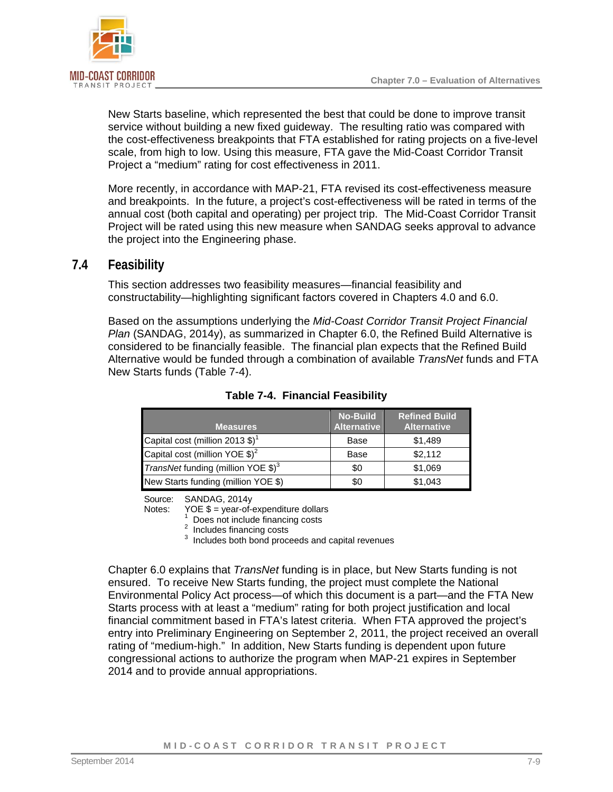

New Starts baseline, which represented the best that could be done to improve transit service without building a new fixed guideway. The resulting ratio was compared with the cost-effectiveness breakpoints that FTA established for rating projects on a five-level scale, from high to low. Using this measure, FTA gave the Mid-Coast Corridor Transit Project a "medium" rating for cost effectiveness in 2011.

More recently, in accordance with MAP-21, FTA revised its cost-effectiveness measure and breakpoints. In the future, a project's cost-effectiveness will be rated in terms of the annual cost (both capital and operating) per project trip. The Mid-Coast Corridor Transit Project will be rated using this new measure when SANDAG seeks approval to advance the project into the Engineering phase.

### **7.4 Feasibility**

<span id="page-8-0"></span>This section addresses two feasibility measures—financial feasibility and constructability—highlighting significant factors covered in Chapters 4.0 and 6.0.

Based on the assumptions underlying the *Mid-Coast Corridor Transit Project Financial Plan* (SANDAG, 2014y), as summarized in Chapter 6.0, the Refined Build Alternative is considered to be financially feasible. The financial plan expects that the Refined Build Alternative would be funded through a combination of available *TransNet* funds and FTA New Starts funds ([Table 7-4](#page-8-1)).

| <b>Measures</b>                             | <b>No-Build</b><br><b>Alternative</b> | <b>Refined Build</b><br><b>Alternative</b> |
|---------------------------------------------|---------------------------------------|--------------------------------------------|
| Capital cost (million 2013 $$)^1$           | Base                                  | \$1,489                                    |
| Capital cost (million YOE $$)^2$            | Base                                  | \$2,112                                    |
| <i>TransNet</i> funding (million YOE $$)^3$ | \$0                                   | \$1,069                                    |
| New Starts funding (million YOE \$)         | \$0                                   | \$1,043                                    |

<span id="page-8-1"></span>**Table 7-4. Financial Feasibility** 

Source: SANDAG, 2014y

Notes: YOE  $$ =$  year-of-expenditure dollars

 $1 \over 2$  Does not include financing costs<br> $1 \over 2$  Includes financing costs

 $3$  Includes both bond proceeds and capital revenues

Chapter 6.0 explains that *TransNet* funding is in place, but New Starts funding is not ensured. To receive New Starts funding, the project must complete the National Environmental Policy Act process—of which this document is a part—and the FTA New Starts process with at least a "medium" rating for both project justification and local financial commitment based in FTA's latest criteria. When FTA approved the project's entry into Preliminary Engineering on September 2, 2011, the project received an overall rating of "medium-high." In addition, New Starts funding is dependent upon future congressional actions to authorize the program when MAP-21 expires in September 2014 and to provide annual appropriations.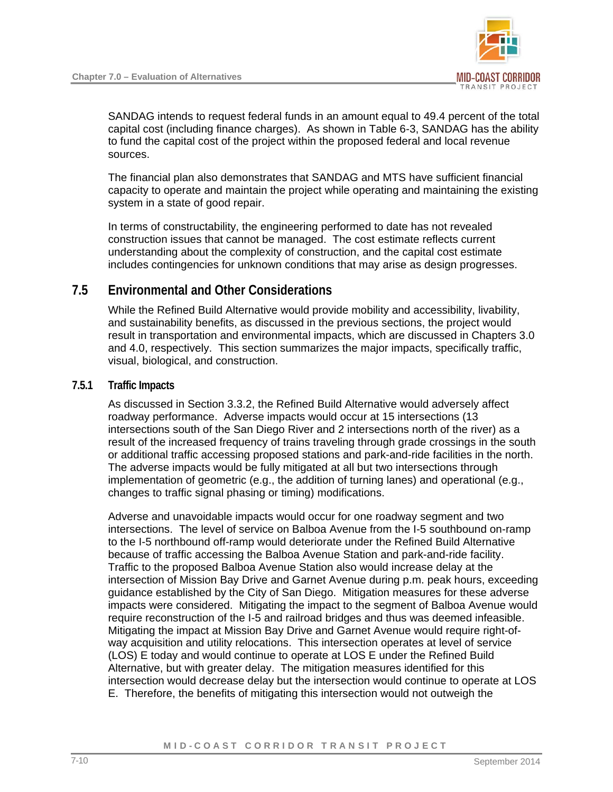

SANDAG intends to request federal funds in an amount equal to 49.4 percent of the total capital cost (including finance charges). As shown in Table 6-3, SANDAG has the ability to fund the capital cost of the project within the proposed federal and local revenue sources.

The financial plan also demonstrates that SANDAG and MTS have sufficient financial capacity to operate and maintain the project while operating and maintaining the existing system in a state of good repair.

In terms of constructability, the engineering performed to date has not revealed construction issues that cannot be managed. The cost estimate reflects current understanding about the complexity of construction, and the capital cost estimate includes contingencies for unknown conditions that may arise as design progresses.

## **7.5 Environmental and Other Considerations**

<span id="page-9-0"></span>While the Refined Build Alternative would provide mobility and accessibility, livability, and sustainability benefits, as discussed in the previous sections, the project would result in transportation and environmental impacts, which are discussed in Chapters 3.0 and 4.0, respectively. This section summarizes the major impacts, specifically traffic, visual, biological, and construction.

#### **7.5.1 Traffic Impacts**

As discussed in Section 3.3.2, the Refined Build Alternative would adversely affect roadway performance. Adverse impacts would occur at 15 intersections (13 intersections south of the San Diego River and 2 intersections north of the river) as a result of the increased frequency of trains traveling through grade crossings in the south or additional traffic accessing proposed stations and park-and-ride facilities in the north. The adverse impacts would be fully mitigated at all but two intersections through implementation of geometric (e.g., the addition of turning lanes) and operational (e.g., changes to traffic signal phasing or timing) modifications.

Adverse and unavoidable impacts would occur for one roadway segment and two intersections. The level of service on Balboa Avenue from the I-5 southbound on-ramp to the I-5 northbound off-ramp would deteriorate under the Refined Build Alternative because of traffic accessing the Balboa Avenue Station and park-and-ride facility. Traffic to the proposed Balboa Avenue Station also would increase delay at the intersection of Mission Bay Drive and Garnet Avenue during p.m. peak hours, exceeding guidance established by the City of San Diego. Mitigation measures for these adverse impacts were considered. Mitigating the impact to the segment of Balboa Avenue would require reconstruction of the I-5 and railroad bridges and thus was deemed infeasible. Mitigating the impact at Mission Bay Drive and Garnet Avenue would require right-ofway acquisition and utility relocations. This intersection operates at level of service (LOS) E today and would continue to operate at LOS E under the Refined Build Alternative, but with greater delay. The mitigation measures identified for this intersection would decrease delay but the intersection would continue to operate at LOS E. Therefore, the benefits of mitigating this intersection would not outweigh the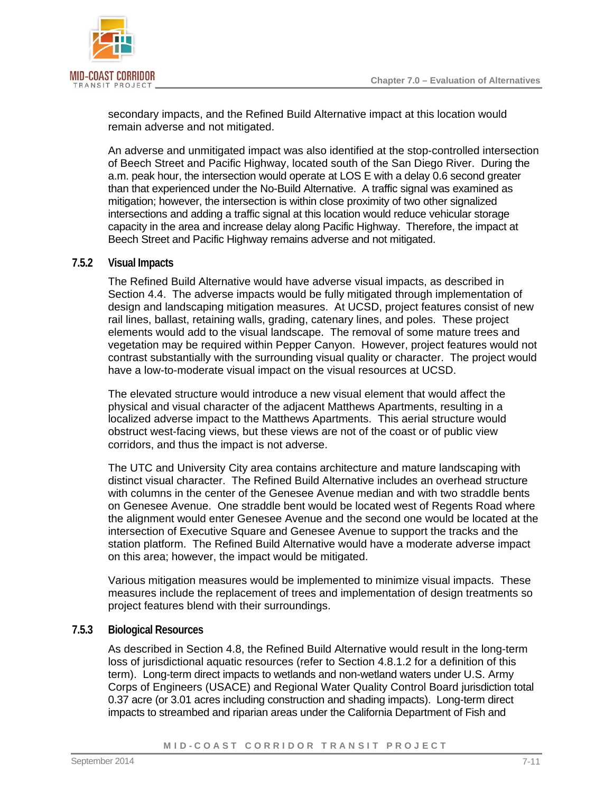

secondary impacts, and the Refined Build Alternative impact at this location would remain adverse and not mitigated.

An adverse and unmitigated impact was also identified at the stop-controlled intersection of Beech Street and Pacific Highway, located south of the San Diego River. During the a.m. peak hour, the intersection would operate at LOS E with a delay 0.6 second greater than that experienced under the No-Build Alternative. A traffic signal was examined as mitigation; however, the intersection is within close proximity of two other signalized intersections and adding a traffic signal at this location would reduce vehicular storage capacity in the area and increase delay along Pacific Highway. Therefore, the impact at Beech Street and Pacific Highway remains adverse and not mitigated.

#### **7.5.2 Visual Impacts**

The Refined Build Alternative would have adverse visual impacts, as described in Section 4.4. The adverse impacts would be fully mitigated through implementation of design and landscaping mitigation measures. At UCSD, project features consist of new rail lines, ballast, retaining walls, grading, catenary lines, and poles. These project elements would add to the visual landscape. The removal of some mature trees and vegetation may be required within Pepper Canyon. However, project features would not contrast substantially with the surrounding visual quality or character. The project would have a low-to-moderate visual impact on the visual resources at UCSD.

The elevated structure would introduce a new visual element that would affect the physical and visual character of the adjacent Matthews Apartments, resulting in a localized adverse impact to the Matthews Apartments. This aerial structure would obstruct west-facing views, but these views are not of the coast or of public view corridors, and thus the impact is not adverse.

The UTC and University City area contains architecture and mature landscaping with distinct visual character. The Refined Build Alternative includes an overhead structure with columns in the center of the Genesee Avenue median and with two straddle bents on Genesee Avenue. One straddle bent would be located west of Regents Road where the alignment would enter Genesee Avenue and the second one would be located at the intersection of Executive Square and Genesee Avenue to support the tracks and the station platform. The Refined Build Alternative would have a moderate adverse impact on this area; however, the impact would be mitigated.

Various mitigation measures would be implemented to minimize visual impacts. These measures include the replacement of trees and implementation of design treatments so project features blend with their surroundings.

#### **7.5.3 Biological Resources**

As described in Section 4.8, the Refined Build Alternative would result in the long-term loss of jurisdictional aquatic resources (refer to Section 4.8.1.2 for a definition of this term). Long-term direct impacts to wetlands and non-wetland waters under U.S. Army Corps of Engineers (USACE) and Regional Water Quality Control Board jurisdiction total 0.37 acre (or 3.01 acres including construction and shading impacts). Long-term direct impacts to streambed and riparian areas under the California Department of Fish and

#### MID-COAST CORRIDOR TRANSIT PROJECT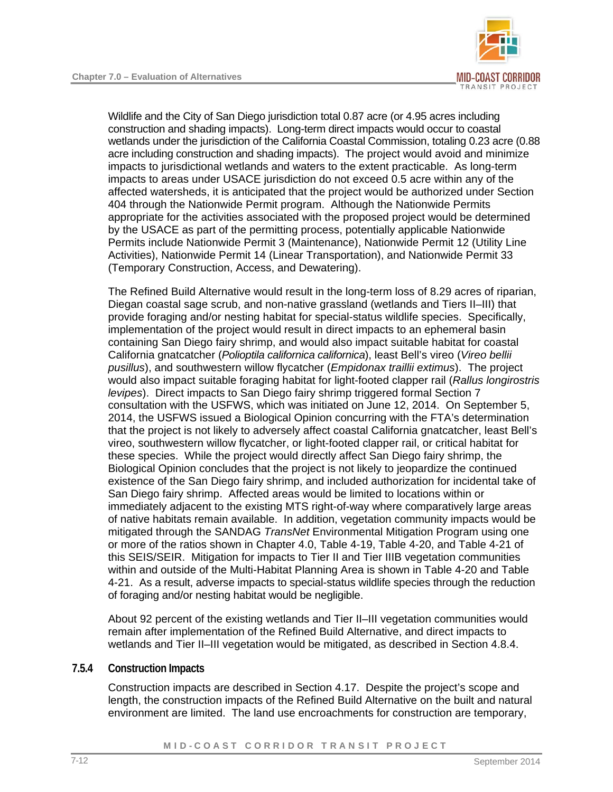

Wildlife and the City of San Diego jurisdiction total 0.87 acre (or 4.95 acres including construction and shading impacts). Long-term direct impacts would occur to coastal wetlands under the jurisdiction of the California Coastal Commission, totaling 0.23 acre (0.88 acre including construction and shading impacts). The project would avoid and minimize impacts to jurisdictional wetlands and waters to the extent practicable. As long-term impacts to areas under USACE jurisdiction do not exceed 0.5 acre within any of the affected watersheds, it is anticipated that the project would be authorized under Section 404 through the Nationwide Permit program. Although the Nationwide Permits appropriate for the activities associated with the proposed project would be determined by the USACE as part of the permitting process, potentially applicable Nationwide Permits include Nationwide Permit 3 (Maintenance), Nationwide Permit 12 (Utility Line Activities), Nationwide Permit 14 (Linear Transportation), and Nationwide Permit 33 (Temporary Construction, Access, and Dewatering).

The Refined Build Alternative would result in the long-term loss of 8.29 acres of riparian, Diegan coastal sage scrub, and non-native grassland (wetlands and Tiers II–III) that provide foraging and/or nesting habitat for special-status wildlife species. Specifically, implementation of the project would result in direct impacts to an ephemeral basin containing San Diego fairy shrimp, and would also impact suitable habitat for coastal California gnatcatcher (*Polioptila californica californica*), least Bell's vireo (*Vireo bellii pusillus*), and southwestern willow flycatcher (*Empidonax traillii extimus*). The project would also impact suitable foraging habitat for light-footed clapper rail (*Rallus longirostris levipes*). Direct impacts to San Diego fairy shrimp triggered formal Section 7 consultation with the USFWS, which was initiated on June 12, 2014. On September 5, 2014, the USFWS issued a Biological Opinion concurring with the FTA's determination that the project is not likely to adversely affect coastal California gnatcatcher, least Bell's vireo, southwestern willow flycatcher, or light-footed clapper rail, or critical habitat for these species. While the project would directly affect San Diego fairy shrimp, the Biological Opinion concludes that the project is not likely to jeopardize the continued existence of the San Diego fairy shrimp, and included authorization for incidental take of San Diego fairy shrimp. Affected areas would be limited to locations within or immediately adjacent to the existing MTS right-of-way where comparatively large areas of native habitats remain available. In addition, vegetation community impacts would be mitigated through the SANDAG *TransNet* Environmental Mitigation Program using one or more of the ratios shown in Chapter 4.0, Table 4-19, Table 4-20, and Table 4-21 of this SEIS/SEIR. Mitigation for impacts to Tier II and Tier IIIB vegetation communities within and outside of the Multi-Habitat Planning Area is shown in Table 4-20 and Table 4-21. As a result, adverse impacts to special-status wildlife species through the reduction of foraging and/or nesting habitat would be negligible.

About 92 percent of the existing wetlands and Tier II–III vegetation communities would remain after implementation of the Refined Build Alternative, and direct impacts to wetlands and Tier II–III vegetation would be mitigated, as described in Section 4.8.4.

#### **7.5.4 Construction Impacts**

Construction impacts are described in Section 4.17. Despite the project's scope and length, the construction impacts of the Refined Build Alternative on the built and natural environment are limited. The land use encroachments for construction are temporary,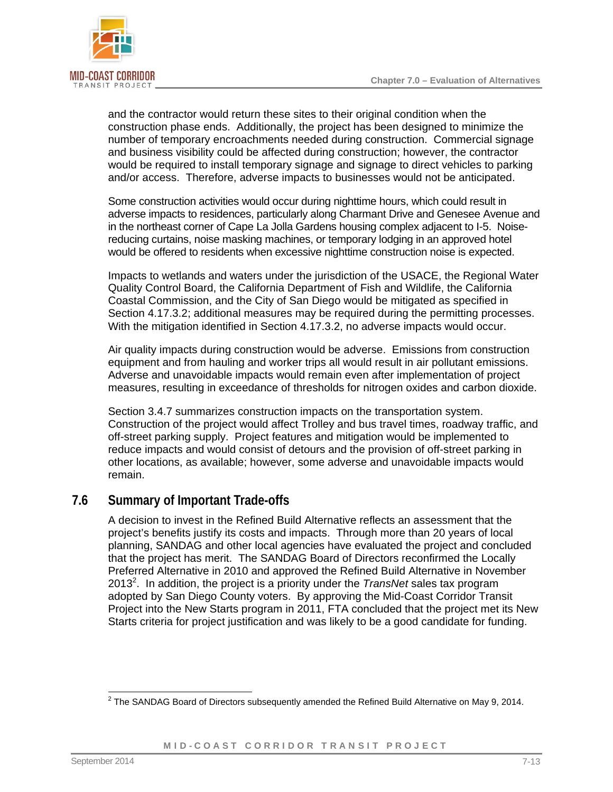

and the contractor would return these sites to their original condition when the construction phase ends. Additionally, the project has been designed to minimize the number of temporary encroachments needed during construction. Commercial signage and business visibility could be affected during construction; however, the contractor would be required to install temporary signage and signage to direct vehicles to parking and/or access. Therefore, adverse impacts to businesses would not be anticipated.

Some construction activities would occur during nighttime hours, which could result in adverse impacts to residences, particularly along Charmant Drive and Genesee Avenue and in the northeast corner of Cape La Jolla Gardens housing complex adjacent to I-5. Noisereducing curtains, noise masking machines, or temporary lodging in an approved hotel would be offered to residents when excessive nighttime construction noise is expected.

Impacts to wetlands and waters under the jurisdiction of the USACE, the Regional Water Quality Control Board, the California Department of Fish and Wildlife, the California Coastal Commission, and the City of San Diego would be mitigated as specified in Section 4.17.3.2; additional measures may be required during the permitting processes. With the mitigation identified in Section 4.17.3.2, no adverse impacts would occur.

Air quality impacts during construction would be adverse. Emissions from construction equipment and from hauling and worker trips all would result in air pollutant emissions. Adverse and unavoidable impacts would remain even after implementation of project measures, resulting in exceedance of thresholds for nitrogen oxides and carbon dioxide.

Section 3.4.7 summarizes construction impacts on the transportation system. Construction of the project would affect Trolley and bus travel times, roadway traffic, and off-street parking supply. Project features and mitigation would be implemented to reduce impacts and would consist of detours and the provision of off-street parking in other locations, as available; however, some adverse and unavoidable impacts would remain.

## **7.6 Summary of Important Trade-offs**

A decision to invest in the Refined Build Alternative reflects an assessment that the project's benefits justify its costs and impacts. Through more than 20 years of local planning, SANDAG and other local agencies have evaluated the project and concluded that the project has merit. The SANDAG Board of Directors reconfirmed the Locally Preferred Alternative in 2010 and approved the Refined Build Alternative in November [2](#page-12-0)013<sup>2</sup>. In addition, the project is a priority under the *TransNet* sales tax program adopted by San Diego County voters. By approving the Mid-Coast Corridor Transit Project into the New Starts program in 2011, FTA concluded that the project met its New Starts criteria for project justification and was likely to be a good candidate for funding.

<span id="page-12-0"></span> 2 The SANDAG Board of Directors subsequently amended the Refined Build Alternative on May 9, 2014.